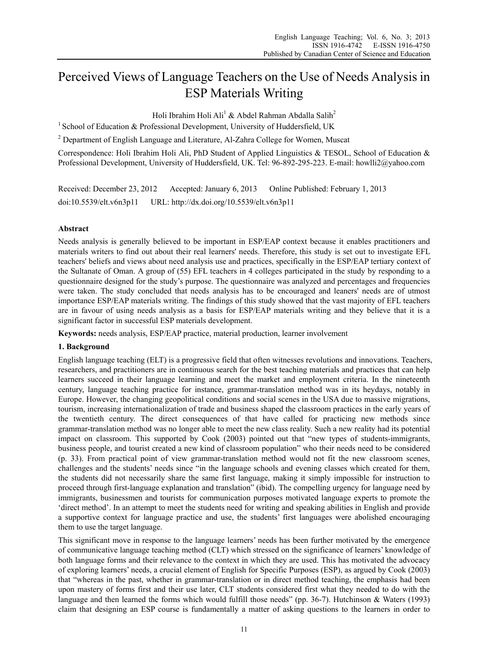# Perceived Views of Language Teachers on the Use of Needs Analysis in ESP Materials Writing

Holi Ibrahim Holi Ali<sup>1</sup> & Abdel Rahman Abdalla Salih<sup>2</sup>

<sup>1</sup> School of Education & Professional Development, University of Huddersfield, UK

<sup>2</sup> Department of English Language and Literature, Al-Zahra College for Women, Muscat

Correspondence: Holi Ibrahim Holi Ali, PhD Student of Applied Linguistics & TESOL, School of Education & Professional Development, University of Huddersfield, UK. Tel: 96-892-295-223. E-mail: howlli2@yahoo.com

Received: December 23, 2012 Accepted: January 6, 2013 Online Published: February 1, 2013 doi:10.5539/elt.v6n3p11 URL: http://dx.doi.org/10.5539/elt.v6n3p11

# **Abstract**

Needs analysis is generally believed to be important in ESP/EAP context because it enables practitioners and materials writers to find out about their real learners' needs. Therefore, this study is set out to investigate EFL teachers' beliefs and views about need analysis use and practices, specifically in the ESP/EAP tertiary context of the Sultanate of Oman. A group of (55) EFL teachers in 4 colleges participated in the study by responding to a questionnaire designed for the study's purpose. The questionnaire was analyzed and percentages and frequencies were taken. The study concluded that needs analysis has to be encouraged and leaners' needs are of utmost importance ESP/EAP materials writing. The findings of this study showed that the vast majority of EFL teachers are in favour of using needs analysis as a basis for ESP/EAP materials writing and they believe that it is a significant factor in successful ESP materials development.

**Keywords:** needs analysis, ESP/EAP practice, material production, learner involvement

# **1. Background**

English language teaching (ELT) is a progressive field that often witnesses revolutions and innovations. Teachers, researchers, and practitioners are in continuous search for the best teaching materials and practices that can help learners succeed in their language learning and meet the market and employment criteria. In the nineteenth century, language teaching practice for instance, grammar-translation method was in its heydays, notably in Europe. However, the changing geopolitical conditions and social scenes in the USA due to massive migrations, tourism, increasing internationalization of trade and business shaped the classroom practices in the early years of the twentieth century. The direct consequences of that have called for practicing new methods since grammar-translation method was no longer able to meet the new class reality. Such a new reality had its potential impact on classroom. This supported by Cook (2003) pointed out that "new types of students-immigrants, business people, and tourist created a new kind of classroom population" who their needs need to be considered (p. 33). From practical point of view grammar-translation method would not fit the new classroom scenes, challenges and the students' needs since "in the language schools and evening classes which created for them, the students did not necessarily share the same first language, making it simply impossible for instruction to proceed through first-language explanation and translation" (ibid). The compelling urgency for language need by immigrants, businessmen and tourists for communication purposes motivated language experts to promote the 'direct method'. In an attempt to meet the students need for writing and speaking abilities in English and provide a supportive context for language practice and use, the students' first languages were abolished encouraging them to use the target language.

This significant move in response to the language learners' needs has been further motivated by the emergence of communicative language teaching method (CLT) which stressed on the significance of learners' knowledge of both language forms and their relevance to the context in which they are used. This has motivated the advocacy of exploring learners' needs, a crucial element of English for Specific Purposes (ESP), as argued by Cook (2003) that "whereas in the past, whether in grammar-translation or in direct method teaching, the emphasis had been upon mastery of forms first and their use later, CLT students considered first what they needed to do with the language and then learned the forms which would fulfill those needs" (pp. 36-7). Hutchinson & Waters (1993) claim that designing an ESP course is fundamentally a matter of asking questions to the learners in order to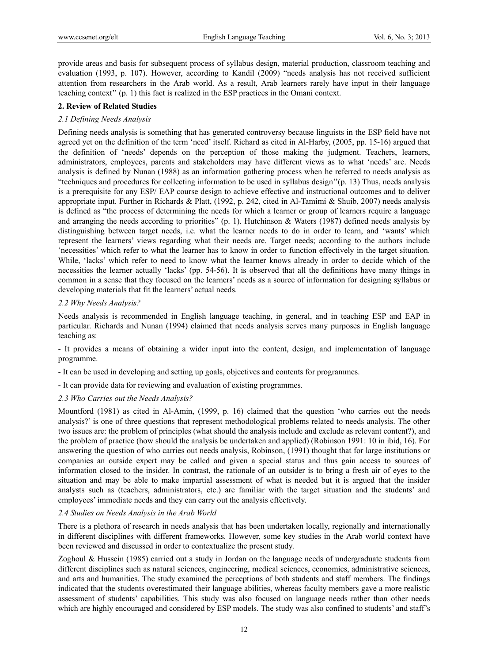provide areas and basis for subsequent process of syllabus design, material production, classroom teaching and evaluation (1993, p. 107). However, according to Kandil (2009) "needs analysis has not received sufficient attention from researchers in the Arab world. As a result, Arab learners rarely have input in their language teaching context'' (p. 1) this fact is realized in the ESP practices in the Omani context.

#### **2. Review of Related Studies**

#### *2.1 Defining Needs Analysis*

Defining needs analysis is something that has generated controversy because linguists in the ESP field have not agreed yet on the definition of the term 'need' itself. Richard as cited in Al-Harby, (2005, pp. 15-16) argued that the definition of 'needs' depends on the perception of those making the judgment. Teachers, learners, administrators, employees, parents and stakeholders may have different views as to what 'needs' are. Needs analysis is defined by Nunan (1988) as an information gathering process when he referred to needs analysis as "techniques and procedures for collecting information to be used in syllabus design''(p. 13) Thus, needs analysis is a prerequisite for any ESP/ EAP course design to achieve effective and instructional outcomes and to deliver appropriate input. Further in Richards & Platt, (1992, p. 242, cited in Al-Tamimi & Shuib, 2007) needs analysis is defined as "the process of determining the needs for which a learner or group of learners require a language and arranging the needs according to priorities" (p. 1). Hutchinson & Waters (1987) defined needs analysis by distinguishing between target needs, i.e. what the learner needs to do in order to learn, and 'wants' which represent the learners' views regarding what their needs are. Target needs; according to the authors include 'necessities' which refer to what the learner has to know in order to function effectively in the target situation. While, 'lacks' which refer to need to know what the learner knows already in order to decide which of the necessities the learner actually 'lacks' (pp. 54-56). It is observed that all the definitions have many things in common in a sense that they focused on the learners' needs as a source of information for designing syllabus or developing materials that fit the learners' actual needs.

#### *2.2 Why Needs Analysis?*

Needs analysis is recommended in English language teaching, in general, and in teaching ESP and EAP in particular. Richards and Nunan (1994) claimed that needs analysis serves many purposes in English language teaching as:

- It provides a means of obtaining a wider input into the content, design, and implementation of language programme.

- It can be used in developing and setting up goals, objectives and contents for programmes.
- It can provide data for reviewing and evaluation of existing programmes.

#### *2.3 Who Carries out the Needs Analysis?*

Mountford (1981) as cited in Al-Amin, (1999, p. 16) claimed that the question 'who carries out the needs analysis?' is one of three questions that represent methodological problems related to needs analysis. The other two issues are: the problem of principles (what should the analysis include and exclude as relevant content?), and the problem of practice (how should the analysis be undertaken and applied) (Robinson 1991: 10 in ibid, 16). For answering the question of who carries out needs analysis, Robinson, (1991) thought that for large institutions or companies an outside expert may be called and given a special status and thus gain access to sources of information closed to the insider. In contrast, the rationale of an outsider is to bring a fresh air of eyes to the situation and may be able to make impartial assessment of what is needed but it is argued that the insider analysts such as (teachers, administrators, etc.) are familiar with the target situation and the students' and employees' immediate needs and they can carry out the analysis effectively.

# *2.4 Studies on Needs Analysis in the Arab World*

There is a plethora of research in needs analysis that has been undertaken locally, regionally and internationally in different disciplines with different frameworks. However, some key studies in the Arab world context have been reviewed and discussed in order to contextualize the present study.

Zoghoul & Hussein (1985) carried out a study in Jordan on the language needs of undergraduate students from different disciplines such as natural sciences, engineering, medical sciences, economics, administrative sciences, and arts and humanities. The study examined the perceptions of both students and staff members. The findings indicated that the students overestimated their language abilities, whereas faculty members gave a more realistic assessment of students' capabilities. This study was also focused on language needs rather than other needs which are highly encouraged and considered by ESP models. The study was also confined to students' and staff's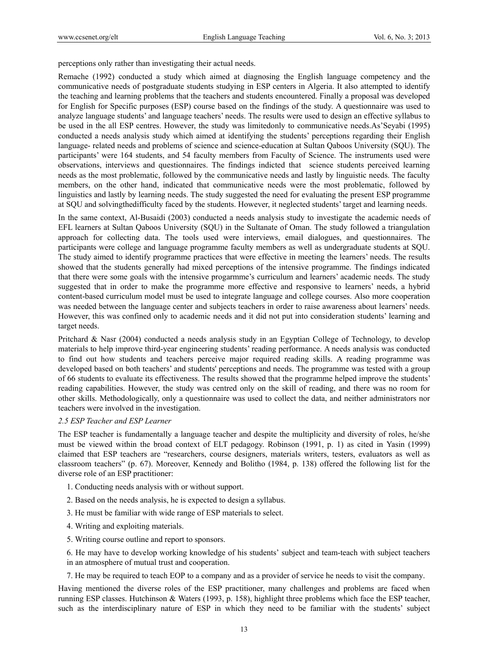perceptions only rather than investigating their actual needs.

Remache (1992) conducted a study which aimed at diagnosing the English language competency and the communicative needs of postgraduate students studying in ESP centers in Algeria. It also attempted to identify the teaching and learning problems that the teachers and students encountered. Finally a proposal was developed for English for Specific purposes (ESP) course based on the findings of the study. A questionnaire was used to analyze language students' and language teachers' needs. The results were used to design an effective syllabus to be used in the all ESP centres. However, the study was limitedonly to communicative needs.As'Seyabi (1995) conducted a needs analysis study which aimed at identifying the students' perceptions regarding their English language- related needs and problems of science and science-education at Sultan Qaboos University (SQU). The participants' were 164 students, and 54 faculty members from Faculty of Science. The instruments used were observations, interviews and questionnaires. The findings indicted that science students perceived learning needs as the most problematic, followed by the communicative needs and lastly by linguistic needs. The faculty members, on the other hand, indicated that communicative needs were the most problematic, followed by linguistics and lastly by learning needs. The study suggested the need for evaluating the present ESP programme at SQU and solvingthedifficulty faced by the students. However, it neglected students' target and learning needs.

In the same context, Al-Busaidi (2003) conducted a needs analysis study to investigate the academic needs of EFL learners at Sultan Qaboos University (SQU) in the Sultanate of Oman. The study followed a triangulation approach for collecting data. The tools used were interviews, email dialogues, and questionnaires. The participants were college and language programme faculty members as well as undergraduate students at SQU. The study aimed to identify programme practices that were effective in meeting the learners' needs. The results showed that the students generally had mixed perceptions of the intensive programme. The findings indicated that there were some goals with the intensive progarmme's curriculum and learners' academic needs. The study suggested that in order to make the programme more effective and responsive to learners' needs, a hybrid content-based curriculum model must be used to integrate language and college courses. Also more cooperation was needed between the language center and subjects teachers in order to raise awareness about learners' needs. However, this was confined only to academic needs and it did not put into consideration students' learning and target needs.

Pritchard & Nasr (2004) conducted a needs analysis study in an Egyptian College of Technology, to develop materials to help improve third-year engineering students' reading performance. A needs analysis was conducted to find out how students and teachers perceive major required reading skills. A reading programme was developed based on both teachers' and students' perceptions and needs. The programme was tested with a group of 66 students to evaluate its effectiveness. The results showed that the programme helped improve the students' reading capabilities. However, the study was centred only on the skill of reading, and there was no room for other skills. Methodologically, only a questionnaire was used to collect the data, and neither administrators nor teachers were involved in the investigation.

#### *2.5 ESP Teacher and ESP Learner*

The ESP teacher is fundamentally a language teacher and despite the multiplicity and diversity of roles, he/she must be viewed within the broad context of ELT pedagogy. Robinson (1991, p. 1) as cited in Yasin (1999) claimed that ESP teachers are "researchers, course designers, materials writers, testers, evaluators as well as classroom teachers" (p. 67). Moreover, Kennedy and Bolitho (1984, p. 138) offered the following list for the diverse role of an ESP practitioner:

- 1. Conducting needs analysis with or without support.
- 2. Based on the needs analysis, he is expected to design a syllabus.
- 3. He must be familiar with wide range of ESP materials to select.
- 4. Writing and exploiting materials.
- 5. Writing course outline and report to sponsors.
- 6. He may have to develop working knowledge of his students' subject and team-teach with subject teachers in an atmosphere of mutual trust and cooperation.
- 7. He may be required to teach EOP to a company and as a provider of service he needs to visit the company.

Having mentioned the diverse roles of the ESP practitioner, many challenges and problems are faced when running ESP classes. Hutchinson & Waters (1993, p. 158), highlight three problems which face the ESP teacher, such as the interdisciplinary nature of ESP in which they need to be familiar with the students' subject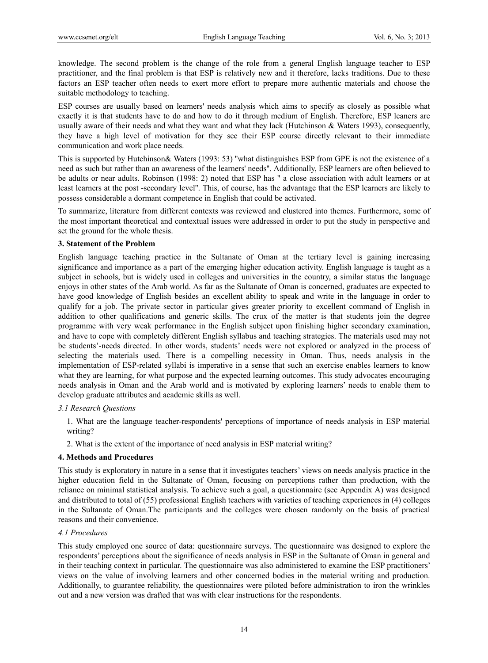knowledge. The second problem is the change of the role from a general English language teacher to ESP practitioner, and the final problem is that ESP is relatively new and it therefore, lacks traditions. Due to these factors an ESP teacher often needs to exert more effort to prepare more authentic materials and choose the suitable methodology to teaching.

ESP courses are usually based on learners' needs analysis which aims to specify as closely as possible what exactly it is that students have to do and how to do it through medium of English. Therefore, ESP leaners are usually aware of their needs and what they want and what they lack (Hutchinson & Waters 1993), consequently, they have a high level of motivation for they see their ESP course directly relevant to their immediate communication and work place needs.

This is supported by Hutchinson& Waters (1993: 53) ''what distinguishes ESP from GPE is not the existence of a need as such but rather than an awareness of the learners' needs''. Additionally, ESP learners are often believed to be adults or near adults. Robinson (1998: 2) noted that ESP has '' a close association with adult learners or at least learners at the post -secondary level''. This, of course, has the advantage that the ESP learners are likely to possess considerable a dormant competence in English that could be activated.

To summarize, literature from different contexts was reviewed and clustered into themes. Furthermore, some of the most important theoretical and contextual issues were addressed in order to put the study in perspective and set the ground for the whole thesis.

# **3. Statement of the Problem**

English language teaching practice in the Sultanate of Oman at the tertiary level is gaining increasing significance and importance as a part of the emerging higher education activity. English language is taught as a subject in schools, but is widely used in colleges and universities in the country, a similar status the language enjoys in other states of the Arab world. As far as the Sultanate of Oman is concerned, graduates are expected to have good knowledge of English besides an excellent ability to speak and write in the language in order to qualify for a job. The private sector in particular gives greater priority to excellent command of English in addition to other qualifications and generic skills. The crux of the matter is that students join the degree programme with very weak performance in the English subject upon finishing higher secondary examination, and have to cope with completely different English syllabus and teaching strategies. The materials used may not be students'-needs directed. In other words, students' needs were not explored or analyzed in the process of selecting the materials used. There is a compelling necessity in Oman. Thus, needs analysis in the implementation of ESP-related syllabi is imperative in a sense that such an exercise enables learners to know what they are learning, for what purpose and the expected learning outcomes. This study advocates encouraging needs analysis in Oman and the Arab world and is motivated by exploring learners' needs to enable them to develop graduate attributes and academic skills as well.

# *3.1 Research Questions*

1. What are the language teacher-respondents' perceptions of importance of needs analysis in ESP material writing?

2. What is the extent of the importance of need analysis in ESP material writing?

# **4. Methods and Procedures**

This study is exploratory in nature in a sense that it investigates teachers' views on needs analysis practice in the higher education field in the Sultanate of Oman, focusing on perceptions rather than production, with the reliance on minimal statistical analysis. To achieve such a goal, a questionnaire (see Appendix A) was designed and distributed to total of (55) professional English teachers with varieties of teaching experiences in (4) colleges in the Sultanate of Oman.The participants and the colleges were chosen randomly on the basis of practical reasons and their convenience.

# *4.1 Procedures*

This study employed one source of data: questionnaire surveys. The questionnaire was designed to explore the respondents' perceptions about the significance of needs analysis in ESP in the Sultanate of Oman in general and in their teaching context in particular. The questionnaire was also administered to examine the ESP practitioners' views on the value of involving learners and other concerned bodies in the material writing and production. Additionally, to guarantee reliability, the questionnaires were piloted before administration to iron the wrinkles out and a new version was drafted that was with clear instructions for the respondents.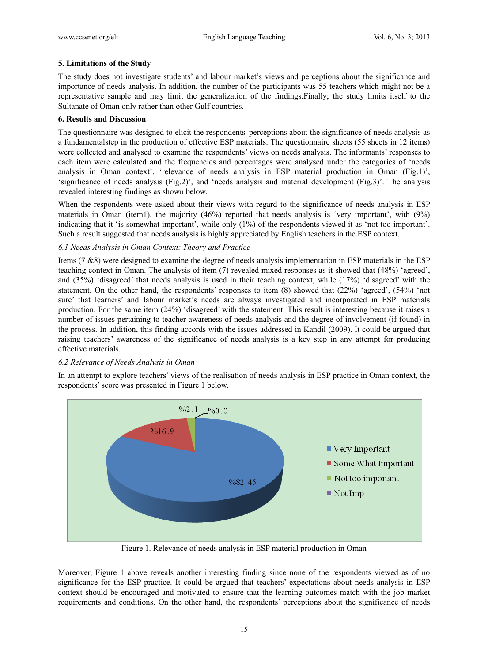# **5. Limitations of the Study**

The study does not investigate students' and labour market's views and perceptions about the significance and importance of needs analysis. In addition, the number of the participants was 55 teachers which might not be a representative sample and may limit the generalization of the findings.Finally; the study limits itself to the Sultanate of Oman only rather than other Gulf countries.

#### **6. Results and Discussion**

The questionnaire was designed to elicit the respondents' perceptions about the significance of needs analysis as a fundamentalstep in the production of effective ESP materials. The questionnaire sheets (55 sheets in 12 items) were collected and analysed to examine the respondents' views on needs analysis. The informants' responses to each item were calculated and the frequencies and percentages were analysed under the categories of 'needs analysis in Oman context', 'relevance of needs analysis in ESP material production in Oman (Fig.1)', 'significance of needs analysis (Fig.2)', and 'needs analysis and material development (Fig.3)'. The analysis revealed interesting findings as shown below.

When the respondents were asked about their views with regard to the significance of needs analysis in ESP materials in Oman (item1), the majority (46%) reported that needs analysis is 'very important', with (9%) indicating that it 'is somewhat important', while only (1%) of the respondents viewed it as 'not too important'. Such a result suggested that needs analysis is highly appreciated by English teachers in the ESP context.

# *6.1 Needs Analysis in Oman Context: Theory and Practice*

Items (7 &8) were designed to examine the degree of needs analysis implementation in ESP materials in the ESP teaching context in Oman. The analysis of item (7) revealed mixed responses as it showed that (48%) 'agreed', and (35%) 'disagreed' that needs analysis is used in their teaching context, while (17%) 'disagreed' with the statement. On the other hand, the respondents' responses to item  $(8)$  showed that  $(22%)$  'agreed',  $(54%)$  'not sure' that learners' and labour market's needs are always investigated and incorporated in ESP materials production. For the same item (24%) 'disagreed' with the statement. This result is interesting because it raises a number of issues pertaining to teacher awareness of needs analysis and the degree of involvement (if found) in the process. In addition, this finding accords with the issues addressed in Kandil (2009). It could be argued that raising teachers' awareness of the significance of needs analysis is a key step in any attempt for producing effective materials.

# *6.2 Relevance of Needs Analysis in Oman*

In an attempt to explore teachers' views of the realisation of needs analysis in ESP practice in Oman context, the respondents' score was presented in Figure 1 below.



Figure 1. Relevance of needs analysis in ESP material production in Oman

Moreover, Figure 1 above reveals another interesting finding since none of the respondents viewed as of no significance for the ESP practice. It could be argued that teachers' expectations about needs analysis in ESP context should be encouraged and motivated to ensure that the learning outcomes match with the job market requirements and conditions. On the other hand, the respondents' perceptions about the significance of needs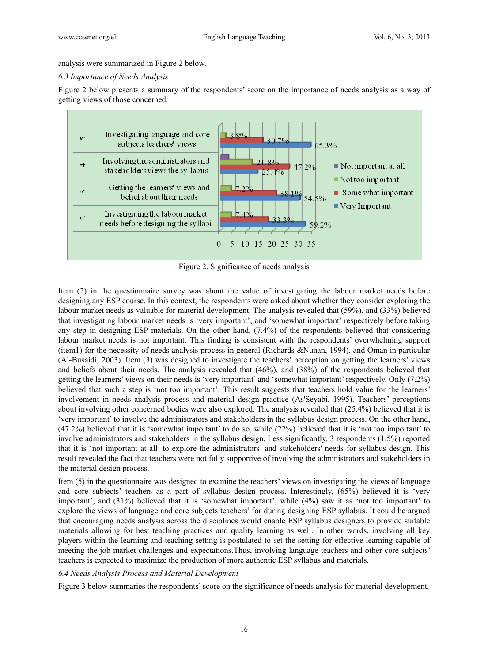analysis were summarized in Figure 2 below.

#### *6.3 Importance of Needs Analysis*

Figure 2 below presents a summary of the respondents' score on the importance of needs analysis as a way of getting views of those concerned.



Figure 2. Significance of needs analysis

Item (2) in the questionnaire survey was about the value of investigating the labour market needs before designing any ESP course. In this context, the respondents were asked about whether they consider exploring the labour market needs as valuable for material development. The analysis revealed that (59%), and (33%) believed that investigating labour market needs is 'very important', and 'somewhat important' respectively before taking any step in designing ESP materials. On the other hand, (7.4%) of the respondents believed that considering labour market needs is not important. This finding is consistent with the respondents' overwhelming support (item1) for the necessity of needs analysis process in general (Richards &Nunan, 1994), and Oman in particular (Al-Busaidi, 2003). Item (3) was designed to investigate the teachers' perception on getting the learners' views and beliefs about their needs. The analysis revealed that (46%), and (38%) of the respondents believed that getting the learners' views on their needs is 'very important' and 'somewhat important' respectively. Only (7.2%) believed that such a step is 'not too important'. This result suggests that teachers hold value for the learners' involvement in needs analysis process and material design practice (As'Seyabi, 1995). Teachers' perceptions about involving other concerned bodies were also explored. The analysis revealed that (25.4%) believed that it is 'very important' to involve the administrators and stakeholders in the syllabus design process. On the other hand, (47.2%) believed that it is 'somewhat important' to do so, while (22%) believed that it is 'not too important' to involve administrators and stakeholders in the syllabus design. Less significantly, 3 respondents (1.5%) reported that it is 'not important at all' to explore the administrators' and stakeholders' needs for syllabus design. This result revealed the fact that teachers were not fully supportive of involving the administrators and stakeholders in the material design process.

Item (5) in the questionnaire was designed to examine the teachers' views on investigating the views of language and core subjects' teachers as a part of syllabus design process. Interestingly, (65%) believed it is 'very important', and (31%) believed that it is 'somewhat important', while (4%) saw it as 'not too important' to explore the views of language and core subjects teachers' for during designing ESP syllabus. It could be argued that encouraging needs analysis across the disciplines would enable ESP syllabus designers to provide suitable materials allowing for best teaching practices and quality learning as well. In other words, involving all key players within the learning and teaching setting is postulated to set the setting for effective learning capable of meeting the job market challenges and expectations.Thus, involving language teachers and other core subjects' teachers is expected to maximize the production of more authentic ESP syllabus and materials.

#### *6.4 Needs Analysis Process and Material Development*

Figure 3 below summaries the respondents' score on the significance of needs analysis for material development.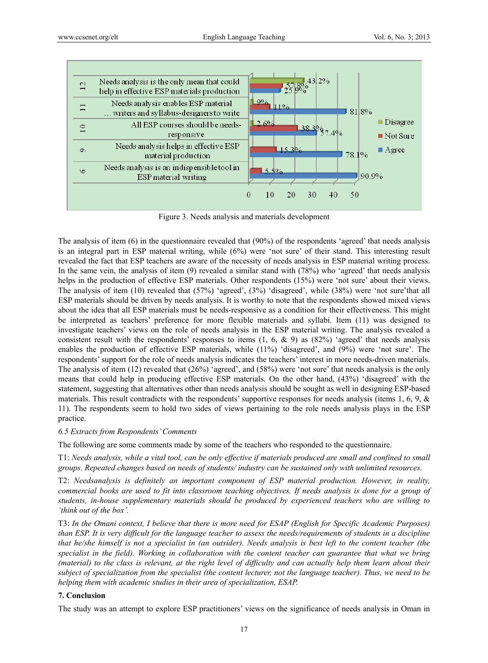

Figure 3. Needs analysis and materials development

The analysis of item (6) in the questionnaire revealed that (90%) of the respondents 'agreed' that needs analysis is an integral part in ESP material writing, while (6%) were 'not sure' of their stand. This interesting result revealed the fact that ESP teachers are aware of the necessity of needs analysis in ESP material writing process. In the same vein, the analysis of item (9) revealed a similar stand with (78%) who 'agreed' that needs analysis helps in the production of effective ESP materials. Other respondents (15%) were 'not sure' about their views. The analysis of item (10) revealed that (57%) 'agreed', (3%) 'disagreed', while (38%) were 'not sure'that all ESP materials should be driven by needs analysis. It is worthy to note that the respondents showed mixed views about the idea that all ESP materials must be needs-responsive as a condition for their effectiveness. This might be interpreted as teachers' preference for more flexible materials and syllabi. Item (11) was designed to investigate teachers' views on the role of needs analysis in the ESP material writing. The analysis revealed a consistent result with the respondents' responses to items  $(1, 6, \& 9)$  as  $(82\%)$  'agreed' that needs analysis enables the production of effective ESP materials, while (11%) 'disagreed', and (9%) were 'not sure'. The respondents' support for the role of needs analysis indicates the teachers' interest in more needs-driven materials. The analysis of item (12) revealed that (26%) 'agreed', and (58%) were 'not sure' that needs analysis is the only means that could help in producing effective ESP materials. On the other hand, (43%) 'disagreed' with the statement, suggesting that alternatives other than needs analysis should be sought as well in designing ESP-based materials. This result contradicts with the respondents' supportive responses for needs analysis (items 1, 6, 9, & 11). The respondents seem to hold two sides of views pertaining to the role needs analysis plays in the ESP practice.

#### *6.5 Extracts from Respondents' Comments*

The following are some comments made by some of the teachers who responded to the questionnaire.

T1: *Needs analysis, while a vital tool, can be only effective if materials produced are small and confined to small groups. Repeated changes based on needs of students/ industry can be sustained only with unlimited resources.* 

T2: *Needsanalysis is definitely an important component of ESP material production. However, in reality, commercial books are used to fit into classroom teaching objectives. If needs analysis is done for a group of students, in-house supplementary materials should be produced by experienced teachers who are willing to 'think out of the box'.* 

T3: *In the Omani context, I believe that there is more need for ESAP (English for Specific Academic Purposes) than ESP. It is very difficult for the language teacher to assess the needs/requirements of students in a discipline that he/she himself is not a specialist in (an outsider). Needs analysis is best left to the content teacher (the specialist in the field). Working in collaboration with the content teacher can guarantee that what we bring (material) to the class is relevant, at the right level of difficulty and can actually help them learn about their subject of specialization from the specialist (the content lecturer, not the language teacher). Thus, we need to be helping them with academic studies in their area of specialization, ESAP.* 

# **7. Conclusion**

The study was an attempt to explore ESP practitioners' views on the significance of needs analysis in Oman in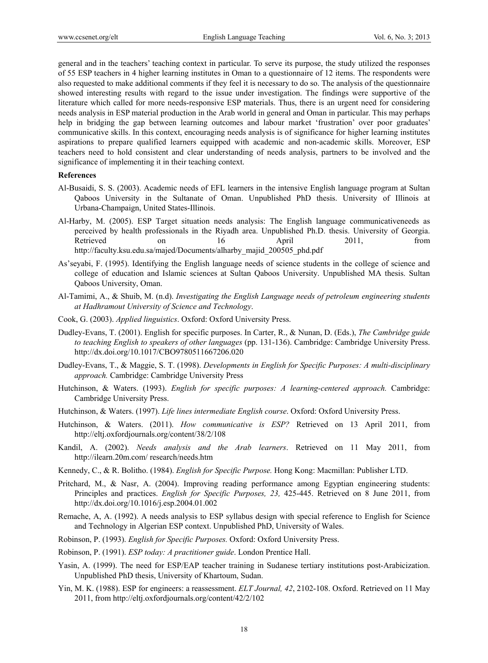general and in the teachers' teaching context in particular. To serve its purpose, the study utilized the responses of 55 ESP teachers in 4 higher learning institutes in Oman to a questionnaire of 12 items. The respondents were also requested to make additional comments if they feel it is necessary to do so. The analysis of the questionnaire showed interesting results with regard to the issue under investigation. The findings were supportive of the literature which called for more needs-responsive ESP materials. Thus, there is an urgent need for considering needs analysis in ESP material production in the Arab world in general and Oman in particular. This may perhaps help in bridging the gap between learning outcomes and labour market 'frustration' over poor graduates' communicative skills. In this context, encouraging needs analysis is of significance for higher learning institutes aspirations to prepare qualified learners equipped with academic and non-academic skills. Moreover, ESP teachers need to hold consistent and clear understanding of needs analysis, partners to be involved and the significance of implementing it in their teaching context.

#### **References**

- Al-Busaidi, S. S. (2003). Academic needs of EFL learners in the intensive English language program at Sultan Qaboos University in the Sultanate of Oman. Unpublished PhD thesis. University of Illinois at Urbana-Champaign, United States-Illinois.
- Al-Harby, M. (2005). ESP Target situation needs analysis: The English language communicativeneeds as perceived by health professionals in the Riyadh area. Unpublished Ph.D. thesis. University of Georgia. Retrieved on 16 April 2011, from http://faculty.ksu.edu.sa/majed/Documents/alharby\_majid\_200505\_phd.pdf
- As'seyabi, F. (1995). Identifying the English language needs of science students in the college of science and college of education and Islamic sciences at Sultan Qaboos University. Unpublished MA thesis. Sultan Qaboos University, Oman.
- Al-Tamimi, A., & Shuib, M. (n.d). *Investigating the English Language needs of petroleum engineering students at Hadhramout University of Science and Technology*.
- Cook, G. (2003). *Applied linguistics*. Oxford: Oxford University Press.
- Dudley-Evans, T. (2001). English for specific purposes. In Carter, R., & Nunan, D. (Eds.), *The Cambridge guide to teaching English to speakers of other languages* (pp. 131-136). Cambridge: Cambridge University Press. http://dx.doi.org/10.1017/CBO9780511667206.020
- Dudley-Evans, T., & Maggie, S. T. (1998). *Developments in English for Specific Purposes: A multi-disciplinary approach.* Cambridge: Cambridge University Press
- Hutchinson, & Waters. (1993). *English for specific purposes: A learning-centered approach.* Cambridge: Cambridge University Press.
- Hutchinson, & Waters. (1997). *Life lines intermediate English course*. Oxford: Oxford University Press.
- Hutchinson, & Waters. (2011). *How communicative is ESP?* Retrieved on 13 April 2011, from http://eltj.oxfordjournals.org/content/38/2/108
- Kandil, A. (2002). *Needs analysis and the Arab learners*. Retrieved on 11 May 2011, from http://ilearn.20m.com/ research/needs.htm
- Kennedy, C., & R. Bolitho. (1984). *English for Specific Purpose.* Hong Kong: Macmillan: Publisher LTD.
- Pritchard, M., & Nasr, A. (2004). Improving reading performance among Egyptian engineering students: Principles and practices. *English for Specific Purposes, 23,* 425-445. Retrieved on 8 June 2011, from http://dx.doi.org/10.1016/j.esp.2004.01.002
- Remache, A, A. (1992). A needs analysis to ESP syllabus design with special reference to English for Science and Technology in Algerian ESP context. Unpublished PhD, University of Wales.
- Robinson, P. (1993). *English for Specific Purposes.* Oxford: Oxford University Press.
- Robinson, P. (1991). *ESP today: A practitioner guide*. London Prentice Hall.
- Yasin, A. (1999). The need for ESP/EAP teacher training in Sudanese tertiary institutions post-Arabicization. Unpublished PhD thesis, University of Khartoum, Sudan.
- Yin, M. K. (1988). ESP for engineers: a reassessment. *ELT Journal, 42*, 2102-108. Oxford. Retrieved on 11 May 2011, from http://eltj.oxfordjournals.org/content/42/2/102